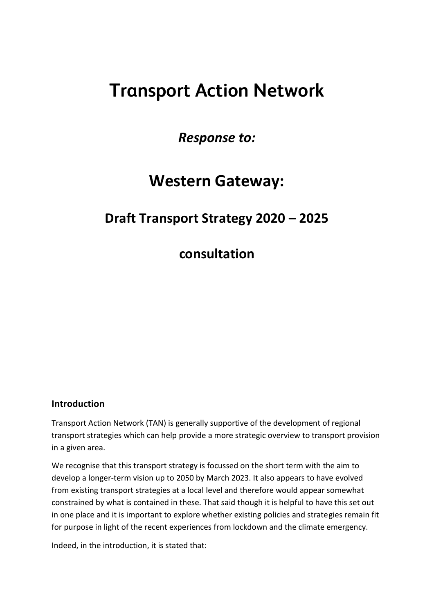# **Transport Action Network**

*Response to:*

## **Western Gateway:**

### **Draft Transport Strategy 2020 – 2025**

**consultation**

#### **Introduction**

Transport Action Network (TAN) is generally supportive of the development of regional transport strategies which can help provide a more strategic overview to transport provision in a given area.

We recognise that this transport strategy is focussed on the short term with the aim to develop a longer-term vision up to 2050 by March 2023. It also appears to have evolved from existing transport strategies at a local level and therefore would appear somewhat constrained by what is contained in these. That said though it is helpful to have this set out in one place and it is important to explore whether existing policies and strategies remain fit for purpose in light of the recent experiences from lockdown and the climate emergency.

Indeed, in the introduction, it is stated that: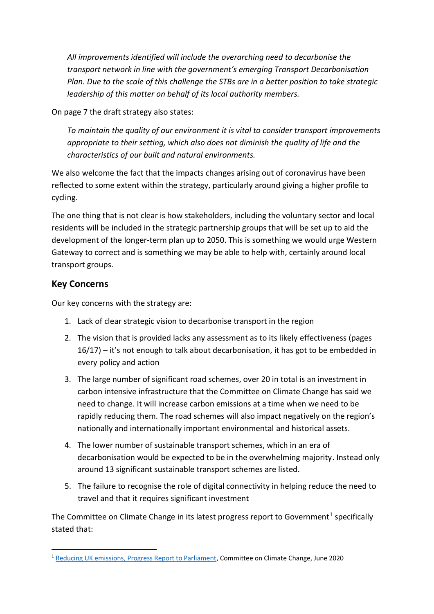*All improvements identified will include the overarching need to decarbonise the transport network in line with the government's emerging Transport Decarbonisation Plan. Due to the scale of this challenge the STBs are in a better position to take strategic leadership of this matter on behalf of its local authority members.*

On page 7 the draft strategy also states:

*To maintain the quality of our environment it is vital to consider transport improvements appropriate to their setting, which also does not diminish the quality of life and the characteristics of our built and natural environments.*

We also welcome the fact that the impacts changes arising out of coronavirus have been reflected to some extent within the strategy, particularly around giving a higher profile to cycling.

The one thing that is not clear is how stakeholders, including the voluntary sector and local residents will be included in the strategic partnership groups that will be set up to aid the development of the longer-term plan up to 2050. This is something we would urge Western Gateway to correct and is something we may be able to help with, certainly around local transport groups.

#### **Key Concerns**

Our key concerns with the strategy are:

- 1. Lack of clear strategic vision to decarbonise transport in the region
- 2. The vision that is provided lacks any assessment as to its likely effectiveness (pages 16/17) – it's not enough to talk about decarbonisation, it has got to be embedded in every policy and action
- 3. The large number of significant road schemes, over 20 in total is an investment in carbon intensive infrastructure that the Committee on Climate Change has said we need to change. It will increase carbon emissions at a time when we need to be rapidly reducing them. The road schemes will also impact negatively on the region's nationally and internationally important environmental and historical assets.
- 4. The lower number of sustainable transport schemes, which in an era of decarbonisation would be expected to be in the overwhelming majority. Instead only around 13 significant sustainable transport schemes are listed.
- 5. The failure to recognise the role of digital connectivity in helping reduce the need to travel and that it requires significant investment

The Committee on Climate Change in its latest progress report to Government<sup>1</sup> specifically stated that:

<sup>&</sup>lt;sup>1</sup> [Reducing UK emissions, Progress Report to Parliament,](https://www.theccc.org.uk/wp-content/uploads/2020/06/Reducing-UK-emissions-Progress-Report-to-Parliament-Committee-on-Cli.._-002-1.pdf) Committee on Climate Change, June 2020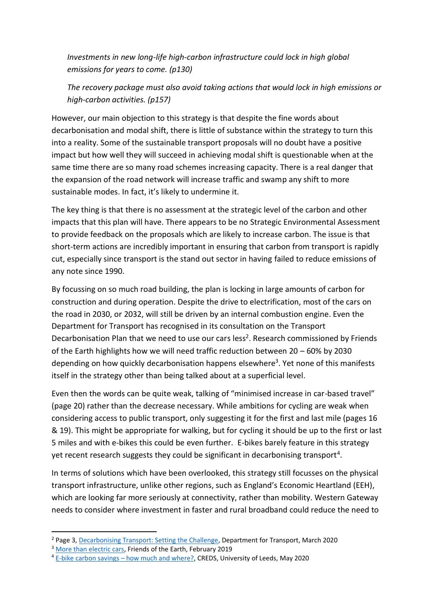*Investments in new long-life high-carbon infrastructure could lock in high global emissions for years to come. (p130)*

*The recovery package must also avoid taking actions that would lock in high emissions or high-carbon activities. (p157)*

However, our main objection to this strategy is that despite the fine words about decarbonisation and modal shift, there is little of substance within the strategy to turn this into a reality. Some of the sustainable transport proposals will no doubt have a positive impact but how well they will succeed in achieving modal shift is questionable when at the same time there are so many road schemes increasing capacity. There is a real danger that the expansion of the road network will increase traffic and swamp any shift to more sustainable modes. In fact, it's likely to undermine it.

The key thing is that there is no assessment at the strategic level of the carbon and other impacts that this plan will have. There appears to be no Strategic Environmental Assessment to provide feedback on the proposals which are likely to increase carbon. The issue is that short-term actions are incredibly important in ensuring that carbon from transport is rapidly cut, especially since transport is the stand out sector in having failed to reduce emissions of any note since 1990.

By focussing on so much road building, the plan is locking in large amounts of carbon for construction and during operation. Despite the drive to electrification, most of the cars on the road in 2030, or 2032, will still be driven by an internal combustion engine. Even the Department for Transport has recognised in its consultation on the Transport Decarbonisation Plan that we need to use our cars less<sup>2</sup>. Research commissioned by Friends of the Earth highlights how we will need traffic reduction between 20 – 60% by 2030 depending on how quickly decarbonisation happens elsewhere<sup>3</sup>. Yet none of this manifests itself in the strategy other than being talked about at a superficial level.

Even then the words can be quite weak, talking of "minimised increase in car-based travel" (page 20) rather than the decrease necessary. While ambitions for cycling are weak when considering access to public transport, only suggesting it for the first and last mile (pages 16 & 19). This might be appropriate for walking, but for cycling it should be up to the first or last 5 miles and with e-bikes this could be even further. E-bikes barely feature in this strategy yet recent research suggests they could be significant in decarbonising transport<sup>4</sup>.

In terms of solutions which have been overlooked, this strategy still focusses on the physical transport infrastructure, unlike other regions, such as England's Economic Heartland (EEH), which are looking far more seriously at connectivity, rather than mobility. Western Gateway needs to consider where investment in faster and rural broadband could reduce the need to

<sup>&</sup>lt;sup>2</sup> Page 3, [Decarbonising Transport: Setting the Challenge,](https://assets.publishing.service.gov.uk/government/uploads/system/uploads/attachment_data/file/878642/decarbonising-transport-setting-the-challenge.pdf) Department for Transport, March 2020

<sup>&</sup>lt;sup>3</sup> [More than electric cars,](https://policy.friendsoftheearth.uk/insight/more-electric-cars) Friends of the Earth, February 2019

<sup>&</sup>lt;sup>4</sup> E-bike carbon savings – [how much and where?,](https://www.creds.ac.uk/publications/e-bike-carbon-savings-how-much-and-where/) CREDS, University of Leeds, May 2020